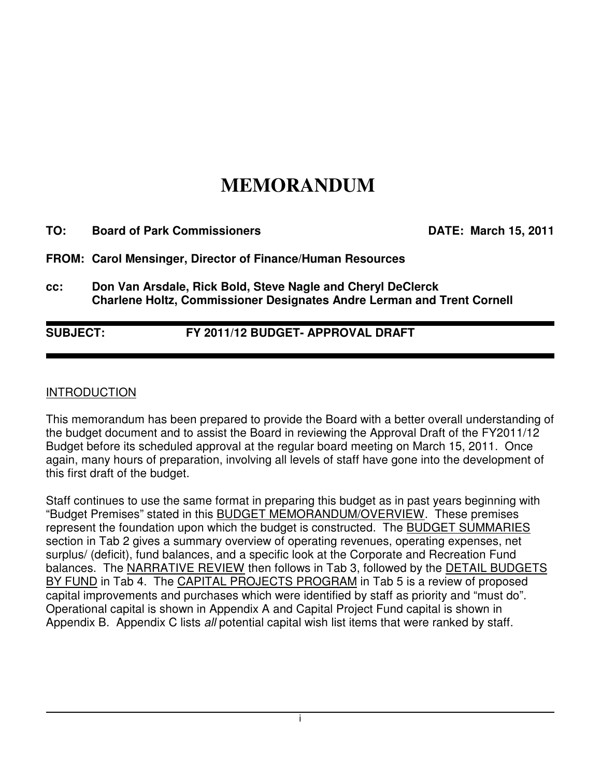# **MEMORANDUM**

| TO: | <b>Board of Park Commissioners</b>                                                                                                           | <b>DATE: March 15, 2011</b> |
|-----|----------------------------------------------------------------------------------------------------------------------------------------------|-----------------------------|
|     | FROM: Carol Mensinger, Director of Finance/Human Resources                                                                                   |                             |
| CC: | Don Van Arsdale, Rick Bold, Steve Nagle and Cheryl DeClerck<br><b>Charlene Holtz, Commissioner Designates Andre Lerman and Trent Cornell</b> |                             |

## **SUBJECT: FY 2011/12 BUDGET- APPROVAL DRAFT**

#### **INTRODUCTION**

This memorandum has been prepared to provide the Board with a better overall understanding of the budget document and to assist the Board in reviewing the Approval Draft of the FY2011/12 Budget before its scheduled approval at the regular board meeting on March 15, 2011. Once again, many hours of preparation, involving all levels of staff have gone into the development of this first draft of the budget.

Staff continues to use the same format in preparing this budget as in past years beginning with "Budget Premises" stated in this BUDGET MEMORANDUM/OVERVIEW. These premises represent the foundation upon which the budget is constructed. The **BUDGET SUMMARIES** section in Tab 2 gives a summary overview of operating revenues, operating expenses, net surplus/ (deficit), fund balances, and a specific look at the Corporate and Recreation Fund balances. The NARRATIVE REVIEW then follows in Tab 3, followed by the DETAIL BUDGETS BY FUND in Tab 4. The CAPITAL PROJECTS PROGRAM in Tab 5 is a review of proposed capital improvements and purchases which were identified by staff as priority and "must do". Operational capital is shown in Appendix A and Capital Project Fund capital is shown in Appendix B. Appendix C lists all potential capital wish list items that were ranked by staff.

i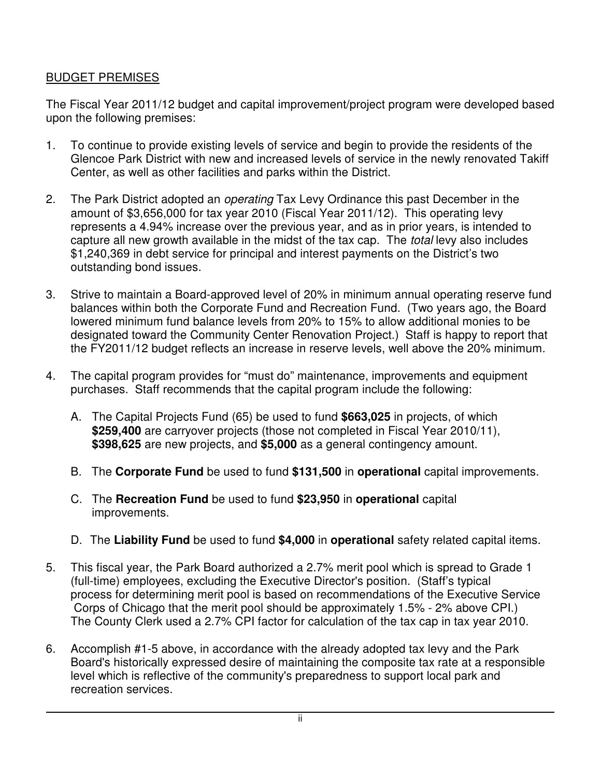## BUDGET PREMISES

The Fiscal Year 2011/12 budget and capital improvement/project program were developed based upon the following premises:

- 1. To continue to provide existing levels of service and begin to provide the residents of the Glencoe Park District with new and increased levels of service in the newly renovated Takiff Center, as well as other facilities and parks within the District.
- 2. The Park District adopted an *operating* Tax Levy Ordinance this past December in the amount of \$3,656,000 for tax year 2010 (Fiscal Year 2011/12). This operating levy represents a 4.94% increase over the previous year, and as in prior years, is intended to capture all new growth available in the midst of the tax cap. The total levy also includes \$1,240,369 in debt service for principal and interest payments on the District's two outstanding bond issues.
- 3. Strive to maintain a Board-approved level of 20% in minimum annual operating reserve fund balances within both the Corporate Fund and Recreation Fund. (Two years ago, the Board lowered minimum fund balance levels from 20% to 15% to allow additional monies to be designated toward the Community Center Renovation Project.) Staff is happy to report that the FY2011/12 budget reflects an increase in reserve levels, well above the 20% minimum.
- 4. The capital program provides for "must do" maintenance, improvements and equipment purchases. Staff recommends that the capital program include the following:
	- A. The Capital Projects Fund (65) be used to fund **\$663,025** in projects, of which **\$259,400** are carryover projects (those not completed in Fiscal Year 2010/11), **\$398,625** are new projects, and **\$5,000** as a general contingency amount.
	- B. The **Corporate Fund** be used to fund **\$131,500** in **operational** capital improvements.
	- C. The **Recreation Fund** be used to fund **\$23,950** in **operational** capital improvements.
	- D. The **Liability Fund** be used to fund **\$4,000** in **operational** safety related capital items.
- 5. This fiscal year, the Park Board authorized a 2.7% merit pool which is spread to Grade 1 (full-time) employees, excluding the Executive Director's position. (Staff's typical process for determining merit pool is based on recommendations of the Executive Service Corps of Chicago that the merit pool should be approximately 1.5% - 2% above CPI.) The County Clerk used a 2.7% CPI factor for calculation of the tax cap in tax year 2010.
- 6. Accomplish #1-5 above, in accordance with the already adopted tax levy and the Park Board's historically expressed desire of maintaining the composite tax rate at a responsible level which is reflective of the community's preparedness to support local park and recreation services.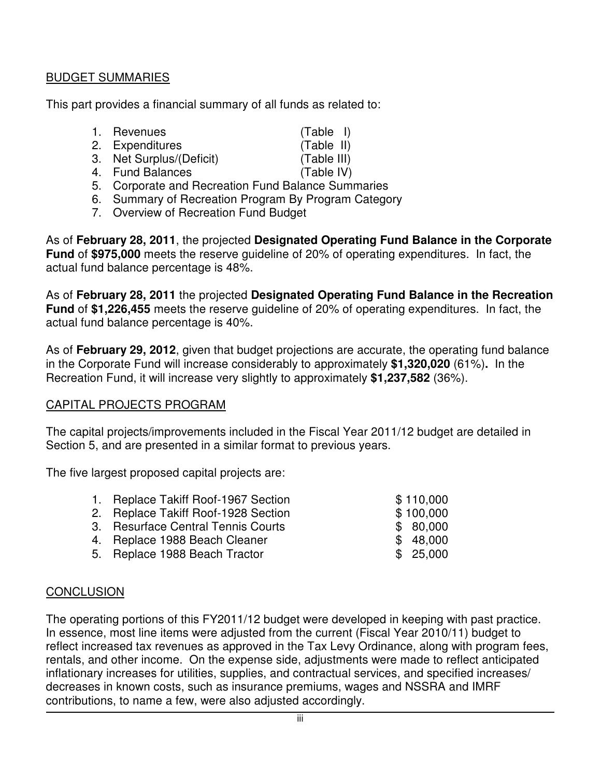### BUDGET SUMMARIES

This part provides a financial summary of all funds as related to:

| 1. Revenues | $(Table$ I) |  |
|-------------|-------------|--|
|             |             |  |

- 2. Expenditures (Table II)
- 3. Net Surplus/(Deficit) (Table III)
- 4. Fund Balances (Table IV)
- 5. Corporate and Recreation Fund Balance Summaries
- 6. Summary of Recreation Program By Program Category
- 7. Overview of Recreation Fund Budget

As of **February 28, 2011**, the projected **Designated Operating Fund Balance in the Corporate Fund** of **\$975,000** meets the reserve guideline of 20% of operating expenditures. In fact, the actual fund balance percentage is 48%.

As of **February 28, 2011** the projected **Designated Operating Fund Balance in the Recreation Fund** of **\$1,226,455** meets the reserve guideline of 20% of operating expenditures. In fact, the actual fund balance percentage is 40%.

As of **February 29, 2012**, given that budget projections are accurate, the operating fund balance in the Corporate Fund will increase considerably to approximately **\$1,320,020** (61%)**.** In the Recreation Fund, it will increase very slightly to approximately **\$1,237,582** (36%).

### CAPITAL PROJECTS PROGRAM

The capital projects/improvements included in the Fiscal Year 2011/12 budget are detailed in Section 5, and are presented in a similar format to previous years.

The five largest proposed capital projects are:

| 1. Replace Takiff Roof-1967 Section | \$110,000 |
|-------------------------------------|-----------|
| 2. Replace Takiff Roof-1928 Section | \$100,000 |
| 3. Resurface Central Tennis Courts  | \$80,000  |
| 4. Replace 1988 Beach Cleaner       | \$48,000  |
| 5. Replace 1988 Beach Tractor       | \$25,000  |
|                                     |           |

## **CONCLUSION**

The operating portions of this FY2011/12 budget were developed in keeping with past practice. In essence, most line items were adjusted from the current (Fiscal Year 2010/11) budget to reflect increased tax revenues as approved in the Tax Levy Ordinance, along with program fees, rentals, and other income. On the expense side, adjustments were made to reflect anticipated inflationary increases for utilities, supplies, and contractual services, and specified increases/ decreases in known costs, such as insurance premiums, wages and NSSRA and IMRF contributions, to name a few, were also adjusted accordingly.